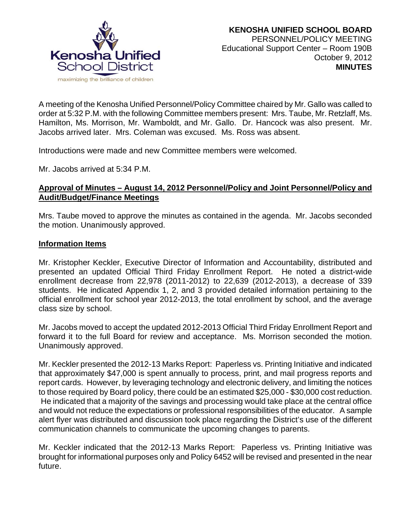

A meeting of the Kenosha Unified Personnel/Policy Committee chaired by Mr. Gallo was called to order at 5:32 P.M. with the following Committee members present: Mrs. Taube, Mr. Retzlaff, Ms. Hamilton, Ms. Morrison, Mr. Wamboldt, and Mr. Gallo. Dr. Hancock was also present. Mr. Jacobs arrived later. Mrs. Coleman was excused. Ms. Ross was absent.

Introductions were made and new Committee members were welcomed.

Mr. Jacobs arrived at 5:34 P.M.

### **Approval of Minutes – August 14, 2012 Personnel/Policy and Joint Personnel/Policy and Audit/Budget/Finance Meetings**

Mrs. Taube moved to approve the minutes as contained in the agenda. Mr. Jacobs seconded the motion. Unanimously approved.

#### **Information Items**

Mr. Kristopher Keckler, Executive Director of Information and Accountability, distributed and presented an updated Official Third Friday Enrollment Report. He noted a district-wide enrollment decrease from 22,978 (2011-2012) to 22,639 (2012-2013), a decrease of 339 students. He indicated Appendix 1, 2, and 3 provided detailed information pertaining to the official enrollment for school year 2012-2013, the total enrollment by school, and the average class size by school.

Mr. Jacobs moved to accept the updated 2012-2013 Official Third Friday Enrollment Report and forward it to the full Board for review and acceptance. Ms. Morrison seconded the motion. Unanimously approved.

Mr. Keckler presented the 2012-13 Marks Report: Paperless vs. Printing Initiative and indicated that approximately \$47,000 is spent annually to process, print, and mail progress reports and report cards. However, by leveraging technology and electronic delivery, and limiting the notices to those required by Board policy, there could be an estimated \$25,000 - \$30,000 cost reduction. He indicated that a majority of the savings and processing would take place at the central office and would not reduce the expectations or professional responsibilities of the educator. A sample alert flyer was distributed and discussion took place regarding the District's use of the different communication channels to communicate the upcoming changes to parents.

Mr. Keckler indicated that the 2012-13 Marks Report: Paperless vs. Printing Initiative was brought for informational purposes only and Policy 6452 will be revised and presented in the near future.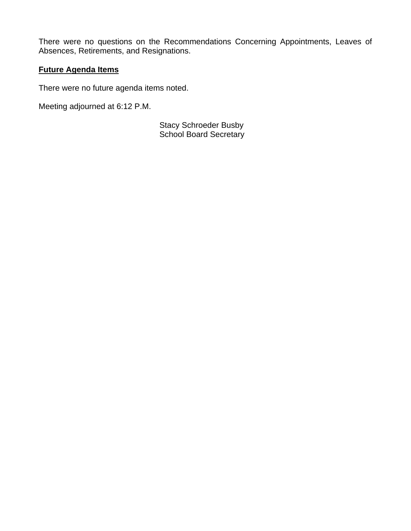There were no questions on the Recommendations Concerning Appointments, Leaves of Absences, Retirements, and Resignations.

# **Future Agenda Items**

There were no future agenda items noted.

Meeting adjourned at 6:12 P.M.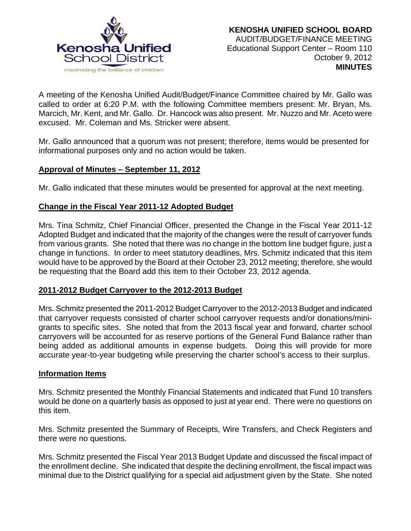

A meeting of the Kenosha Unified Audit/Budget/Finance Committee chaired by Mr. Gallo was called to order at 6:20 P.M. with the following Committee members present: Mr. Bryan, Ms. Marcich, Mr. Kent, and Mr. Gallo. Dr. Hancock was also present. Mr. Nuzzo and Mr. Aceto were excused. Mr. Coleman and Ms. Stricker were absent.

Mr. Gallo announced that a quorum was not present; therefore, items would be presented for informational purposes only and no action would be taken.

### **Approval of Minutes – September 11, 2012**

Mr. Gallo indicated that these minutes would be presented for approval at the next meeting.

## **Change in the Fiscal Year 2011-12 Adopted Budget**

Mrs. Tina Schmitz, Chief Financial Officer, presented the Change in the Fiscal Year 2011-12 Adopted Budget and indicated that the majority of the changes were the result of carryover funds from various grants. She noted that there was no change in the bottom line budget figure, just a change in functions. In order to meet statutory deadlines, Mrs. Schmitz indicated that this item would have to be approved by the Board at their October 23, 2012 meeting; therefore, she would be requesting that the Board add this item to their October 23, 2012 agenda.

# **2011-2012 Budget Carryover to the 2012-2013 Budget**

Mrs. Schmitz presented the 2011-2012 Budget Carryover to the 2012-2013 Budget and indicated that carryover requests consisted of charter school carryover requests and/or donations/minigrants to specific sites. She noted that from the 2013 fiscal year and forward, charter school carryovers will be accounted for as reserve portions of the General Fund Balance rather than being added as additional amounts in expense budgets. Doing this will provide for more accurate year-to-year budgeting while preserving the charter school's access to their surplus.

### **Information Items**

Mrs. Schmitz presented the Monthly Financial Statements and indicated that Fund 10 transfers would be done on a quarterly basis as opposed to just at year end. There were no questions on this item.

Mrs. Schmitz presented the Summary of Receipts, Wire Transfers, and Check Registers and there were no questions.

Mrs. Schmitz presented the Fiscal Year 2013 Budget Update and discussed the fiscal impact of the enrollment decline. She indicated that despite the declining enrollment, the fiscal impact was minimal due to the District qualifying for a special aid adjustment given by the State. She noted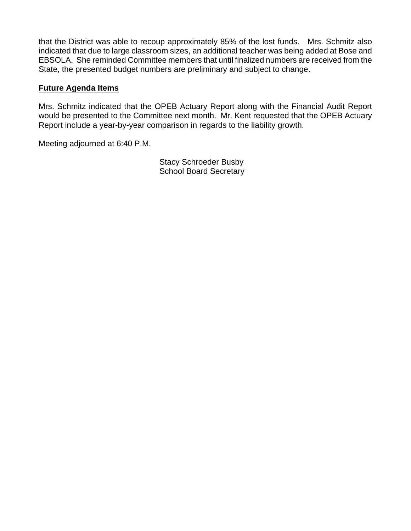that the District was able to recoup approximately 85% of the lost funds. Mrs. Schmitz also indicated that due to large classroom sizes, an additional teacher was being added at Bose and EBSOLA. She reminded Committee members that until finalized numbers are received from the State, the presented budget numbers are preliminary and subject to change.

### **Future Agenda Items**

Mrs. Schmitz indicated that the OPEB Actuary Report along with the Financial Audit Report would be presented to the Committee next month. Mr. Kent requested that the OPEB Actuary Report include a year-by-year comparison in regards to the liability growth.

Meeting adjourned at 6:40 P.M.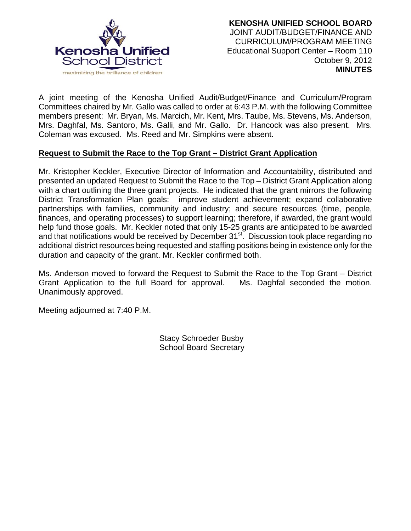

A joint meeting of the Kenosha Unified Audit/Budget/Finance and Curriculum/Program Committees chaired by Mr. Gallo was called to order at 6:43 P.M. with the following Committee members present: Mr. Bryan, Ms. Marcich, Mr. Kent, Mrs. Taube, Ms. Stevens, Ms. Anderson, Mrs. Daghfal, Ms. Santoro, Ms. Galli, and Mr. Gallo. Dr. Hancock was also present. Mrs. Coleman was excused. Ms. Reed and Mr. Simpkins were absent.

## **Request to Submit the Race to the Top Grant – District Grant Application**

Mr. Kristopher Keckler, Executive Director of Information and Accountability, distributed and presented an updated Request to Submit the Race to the Top – District Grant Application along with a chart outlining the three grant projects. He indicated that the grant mirrors the following District Transformation Plan goals: improve student achievement; expand collaborative partnerships with families, community and industry; and secure resources (time, people, finances, and operating processes) to support learning; therefore, if awarded, the grant would help fund those goals. Mr. Keckler noted that only 15-25 grants are anticipated to be awarded and that notifications would be received by December 31<sup>st</sup>. Discussion took place regarding no additional district resources being requested and staffing positions being in existence only for the duration and capacity of the grant. Mr. Keckler confirmed both.

Ms. Anderson moved to forward the Request to Submit the Race to the Top Grant – District Grant Application to the full Board for approval. Ms. Daghfal seconded the motion. Unanimously approved.

Meeting adjourned at 7:40 P.M.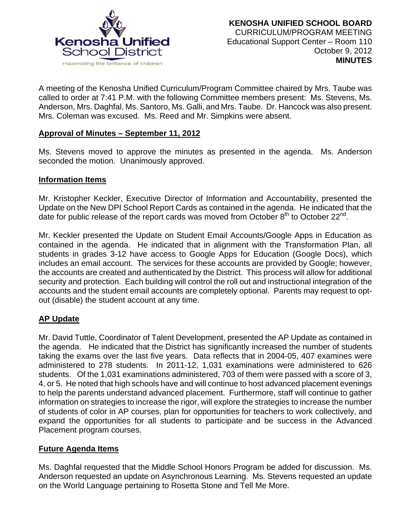

A meeting of the Kenosha Unified Curriculum/Program Committee chaired by Mrs. Taube was called to order at 7:41 P.M. with the following Committee members present: Ms. Stevens, Ms. Anderson, Mrs. Daghfal, Ms. Santoro, Ms. Galli, and Mrs. Taube. Dr. Hancock was also present. Mrs. Coleman was excused. Ms. Reed and Mr. Simpkins were absent.

#### **Approval of Minutes – September 11, 2012**

Ms. Stevens moved to approve the minutes as presented in the agenda. Ms. Anderson seconded the motion. Unanimously approved.

#### **Information Items**

Mr. Kristopher Keckler, Executive Director of Information and Accountability, presented the Update on the New DPI School Report Cards as contained in the agenda. He indicated that the date for public release of the report cards was moved from October  $8<sup>th</sup>$  to October 22<sup>nd</sup>.

Mr. Keckler presented the Update on Student Email Accounts/Google Apps in Education as contained in the agenda. He indicated that in alignment with the Transformation Plan, all students in grades 3-12 have access to Google Apps for Education (Google Docs), which includes an email account. The services for these accounts are provided by Google; however, the accounts are created and authenticated by the District. This process will allow for additional security and protection. Each building will control the roll out and instructional integration of the accounts and the student email accounts are completely optional. Parents may request to optout (disable) the student account at any time.

### **AP Update**

Mr. David Tuttle, Coordinator of Talent Development, presented the AP Update as contained in the agenda. He indicated that the District has significantly increased the number of students taking the exams over the last five years. Data reflects that in 2004-05, 407 examines were administered to 278 students. In 2011-12, 1,031 examinations were administered to 626 students. Of the 1,031 examinations administered, 703 of them were passed with a score of 3, 4, or 5. He noted that high schools have and will continue to host advanced placement evenings to help the parents understand advanced placement. Furthermore, staff will continue to gather information on strategies to increase the rigor, will explore the strategies to increase the number of students of color in AP courses, plan for opportunities for teachers to work collectively, and expand the opportunities for all students to participate and be success in the Advanced Placement program courses.

#### **Future Agenda Items**

Ms. Daghfal requested that the Middle School Honors Program be added for discussion. Ms. Anderson requested an update on Asynchronous Learning. Ms. Stevens requested an update on the World Language pertaining to Rosetta Stone and Tell Me More.